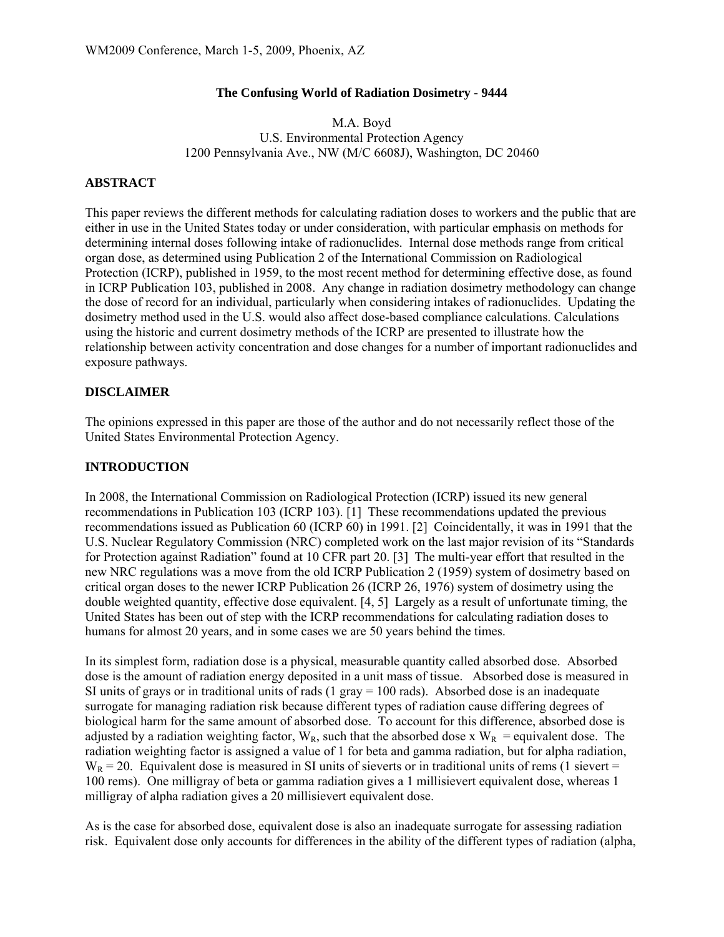### **The Confusing World of Radiation Dosimetry - 9444**

### M.A. Boyd U.S. Environmental Protection Agency 1200 Pennsylvania Ave., NW (M/C 6608J), Washington, DC 20460

## **ABSTRACT**

This paper reviews the different methods for calculating radiation doses to workers and the public that are either in use in the United States today or under consideration, with particular emphasis on methods for determining internal doses following intake of radionuclides. Internal dose methods range from critical organ dose, as determined using Publication 2 of the International Commission on Radiological Protection (ICRP), published in 1959, to the most recent method for determining effective dose, as found in ICRP Publication 103, published in 2008. Any change in radiation dosimetry methodology can change the dose of record for an individual, particularly when considering intakes of radionuclides. Updating the dosimetry method used in the U.S. would also affect dose-based compliance calculations. Calculations using the historic and current dosimetry methods of the ICRP are presented to illustrate how the relationship between activity concentration and dose changes for a number of important radionuclides and exposure pathways.

## **DISCLAIMER**

The opinions expressed in this paper are those of the author and do not necessarily reflect those of the United States Environmental Protection Agency.

### **INTRODUCTION**

In 2008, the International Commission on Radiological Protection (ICRP) issued its new general recommendations in Publication 103 (ICRP 103). [1] These recommendations updated the previous recommendations issued as Publication 60 (ICRP 60) in 1991. [2] Coincidentally, it was in 1991 that the U.S. Nuclear Regulatory Commission (NRC) completed work on the last major revision of its "Standards for Protection against Radiation" found at 10 CFR part 20. [3] The multi-year effort that resulted in the new NRC regulations was a move from the old ICRP Publication 2 (1959) system of dosimetry based on critical organ doses to the newer ICRP Publication 26 (ICRP 26, 1976) system of dosimetry using the double weighted quantity, effective dose equivalent. [4, 5] Largely as a result of unfortunate timing, the United States has been out of step with the ICRP recommendations for calculating radiation doses to humans for almost 20 years, and in some cases we are 50 years behind the times.

In its simplest form, radiation dose is a physical, measurable quantity called absorbed dose. Absorbed dose is the amount of radiation energy deposited in a unit mass of tissue. Absorbed dose is measured in SI units of grays or in traditional units of rads  $(1 \text{ gray} = 100 \text{ rad})$ . Absorbed dose is an inadequate surrogate for managing radiation risk because different types of radiation cause differing degrees of biological harm for the same amount of absorbed dose. To account for this difference, absorbed dose is adjusted by a radiation weighting factor,  $W_R$ , such that the absorbed dose x  $W_R$  = equivalent dose. The radiation weighting factor is assigned a value of 1 for beta and gamma radiation, but for alpha radiation,  $W_R = 20$ . Equivalent dose is measured in SI units of sieverts or in traditional units of rems (1 sievert = 100 rems). One milligray of beta or gamma radiation gives a 1 millisievert equivalent dose, whereas 1 milligray of alpha radiation gives a 20 millisievert equivalent dose.

As is the case for absorbed dose, equivalent dose is also an inadequate surrogate for assessing radiation risk. Equivalent dose only accounts for differences in the ability of the different types of radiation (alpha,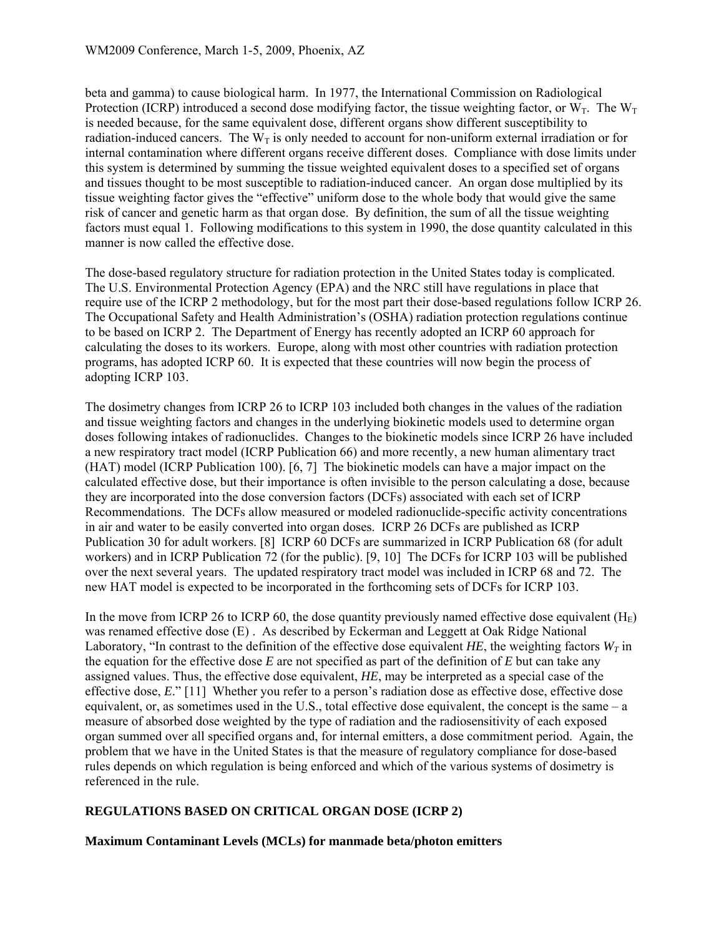beta and gamma) to cause biological harm. In 1977, the International Commission on Radiological Protection (ICRP) introduced a second dose modifying factor, the tissue weighting factor, or  $W_T$ . The  $W_T$ is needed because, for the same equivalent dose, different organs show different susceptibility to radiation-induced cancers. The  $W_T$  is only needed to account for non-uniform external irradiation or for internal contamination where different organs receive different doses. Compliance with dose limits under this system is determined by summing the tissue weighted equivalent doses to a specified set of organs and tissues thought to be most susceptible to radiation-induced cancer. An organ dose multiplied by its tissue weighting factor gives the "effective" uniform dose to the whole body that would give the same risk of cancer and genetic harm as that organ dose. By definition, the sum of all the tissue weighting factors must equal 1. Following modifications to this system in 1990, the dose quantity calculated in this manner is now called the effective dose.

The dose-based regulatory structure for radiation protection in the United States today is complicated. The U.S. Environmental Protection Agency (EPA) and the NRC still have regulations in place that require use of the ICRP 2 methodology, but for the most part their dose-based regulations follow ICRP 26. The Occupational Safety and Health Administration's (OSHA) radiation protection regulations continue to be based on ICRP 2. The Department of Energy has recently adopted an ICRP 60 approach for calculating the doses to its workers. Europe, along with most other countries with radiation protection programs, has adopted ICRP 60. It is expected that these countries will now begin the process of adopting ICRP 103.

The dosimetry changes from ICRP 26 to ICRP 103 included both changes in the values of the radiation and tissue weighting factors and changes in the underlying biokinetic models used to determine organ doses following intakes of radionuclides. Changes to the biokinetic models since ICRP 26 have included a new respiratory tract model (ICRP Publication 66) and more recently, a new human alimentary tract (HAT) model (ICRP Publication 100). [6, 7] The biokinetic models can have a major impact on the calculated effective dose, but their importance is often invisible to the person calculating a dose, because they are incorporated into the dose conversion factors (DCFs) associated with each set of ICRP Recommendations. The DCFs allow measured or modeled radionuclide-specific activity concentrations in air and water to be easily converted into organ doses. ICRP 26 DCFs are published as ICRP Publication 30 for adult workers. [8] ICRP 60 DCFs are summarized in ICRP Publication 68 (for adult workers) and in ICRP Publication 72 (for the public). [9, 10] The DCFs for ICRP 103 will be published over the next several years. The updated respiratory tract model was included in ICRP 68 and 72. The new HAT model is expected to be incorporated in the forthcoming sets of DCFs for ICRP 103.

In the move from ICRP 26 to ICRP 60, the dose quantity previously named effective dose equivalent ( $H<sub>E</sub>$ ) was renamed effective dose (E) . As described by Eckerman and Leggett at Oak Ridge National Laboratory, "In contrast to the definition of the effective dose equivalent *HE*, the weighting factors  $W_T$  in the equation for the effective dose *E* are not specified as part of the definition of *E* but can take any assigned values. Thus, the effective dose equivalent, *HE*, may be interpreted as a special case of the effective dose, *E*." [11] Whether you refer to a person's radiation dose as effective dose, effective dose equivalent, or, as sometimes used in the U.S., total effective dose equivalent, the concept is the same – a measure of absorbed dose weighted by the type of radiation and the radiosensitivity of each exposed organ summed over all specified organs and, for internal emitters, a dose commitment period. Again, the problem that we have in the United States is that the measure of regulatory compliance for dose-based rules depends on which regulation is being enforced and which of the various systems of dosimetry is referenced in the rule.

# **REGULATIONS BASED ON CRITICAL ORGAN DOSE (ICRP 2)**

**Maximum Contaminant Levels (MCLs) for manmade beta/photon emitters**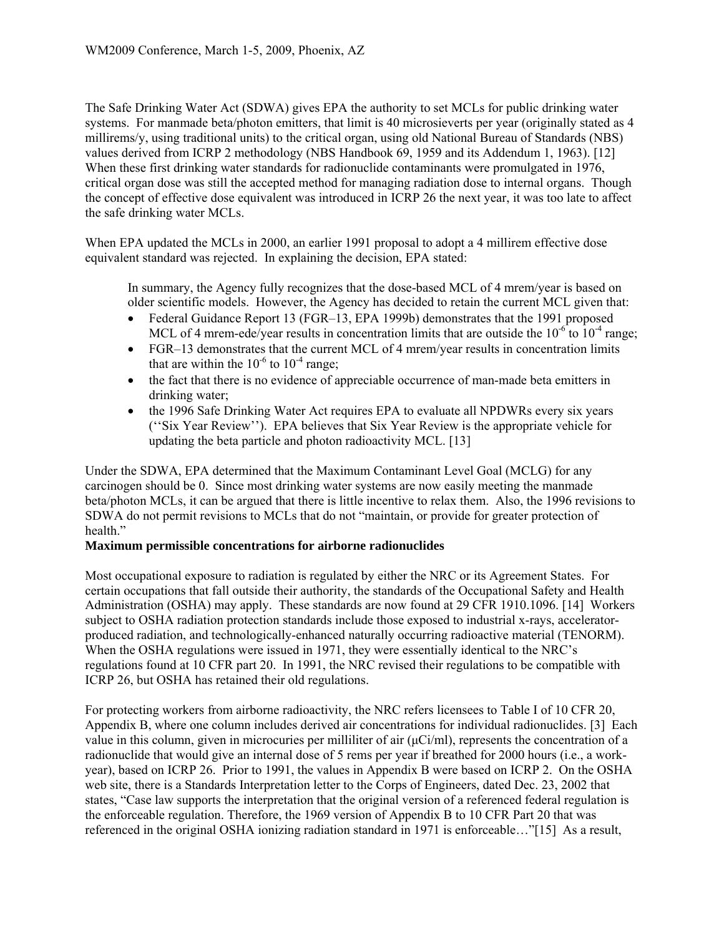The Safe Drinking Water Act (SDWA) gives EPA the authority to set MCLs for public drinking water systems. For manmade beta/photon emitters, that limit is 40 microsieverts per year (originally stated as 4 millirems/y, using traditional units) to the critical organ, using old National Bureau of Standards (NBS) values derived from ICRP 2 methodology (NBS Handbook 69, 1959 and its Addendum 1, 1963). [12] When these first drinking water standards for radionuclide contaminants were promulgated in 1976, critical organ dose was still the accepted method for managing radiation dose to internal organs. Though the concept of effective dose equivalent was introduced in ICRP 26 the next year, it was too late to affect the safe drinking water MCLs.

When EPA updated the MCLs in 2000, an earlier 1991 proposal to adopt a 4 millirem effective dose equivalent standard was rejected. In explaining the decision, EPA stated:

In summary, the Agency fully recognizes that the dose-based MCL of 4 mrem/year is based on older scientific models. However, the Agency has decided to retain the current MCL given that:

- Federal Guidance Report 13 (FGR-13, EPA 1999b) demonstrates that the 1991 proposed MCL of 4 mrem-ede/year results in concentration limits that are outside the  $10^{-6}$  to  $10^{-4}$  range;
- FGR–13 demonstrates that the current MCL of 4 mrem/year results in concentration limits that are within the  $10^{-6}$  to  $10^{-4}$  range;
- the fact that there is no evidence of appreciable occurrence of man-made beta emitters in drinking water;
- the 1996 Safe Drinking Water Act requires EPA to evaluate all NPDWRs every six years (''Six Year Review''). EPA believes that Six Year Review is the appropriate vehicle for updating the beta particle and photon radioactivity MCL. [13]

Under the SDWA, EPA determined that the Maximum Contaminant Level Goal (MCLG) for any carcinogen should be 0. Since most drinking water systems are now easily meeting the manmade beta/photon MCLs, it can be argued that there is little incentive to relax them. Also, the 1996 revisions to SDWA do not permit revisions to MCLs that do not "maintain, or provide for greater protection of health."

### **Maximum permissible concentrations for airborne radionuclides**

Most occupational exposure to radiation is regulated by either the NRC or its Agreement States. For certain occupations that fall outside their authority, the standards of the Occupational Safety and Health Administration (OSHA) may apply. These standards are now found at 29 CFR 1910.1096. [14] Workers subject to OSHA radiation protection standards include those exposed to industrial x-rays, acceleratorproduced radiation, and technologically-enhanced naturally occurring radioactive material (TENORM). When the OSHA regulations were issued in 1971, they were essentially identical to the NRC's regulations found at 10 CFR part 20. In 1991, the NRC revised their regulations to be compatible with ICRP 26, but OSHA has retained their old regulations.

For protecting workers from airborne radioactivity, the NRC refers licensees to Table I of 10 CFR 20, Appendix B, where one column includes derived air concentrations for individual radionuclides. [3] Each value in this column, given in microcuries per milliliter of air  $(\mu\mathrm{Ci/ml})$ , represents the concentration of a radionuclide that would give an internal dose of 5 rems per year if breathed for 2000 hours (i.e., a workyear), based on ICRP 26. Prior to 1991, the values in Appendix B were based on ICRP 2. On the OSHA web site, there is a Standards Interpretation letter to the Corps of Engineers, dated Dec. 23, 2002 that states, "Case law supports the interpretation that the original version of a referenced federal regulation is the enforceable regulation. Therefore, the 1969 version of Appendix B to 10 CFR Part 20 that was referenced in the original OSHA ionizing radiation standard in 1971 is enforceable…"[15] As a result,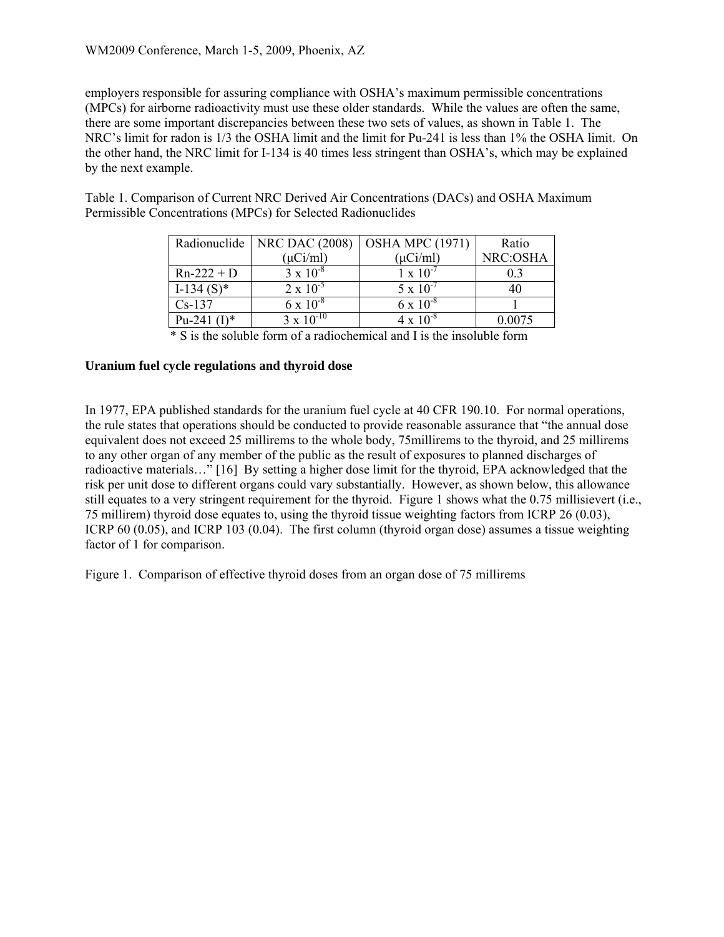employers responsible for assuring compliance with OSHA's maximum permissible concentrations (MPCs) for airborne radioactivity must use these older standards. While the values are often the same, there are some important discrepancies between these two sets of values, as shown in Table 1. The NRC's limit for radon is 1/3 the OSHA limit and the limit for Pu-241 is less than 1% the OSHA limit. On the other hand, the NRC limit for I-134 is 40 times less stringent than OSHA's, which may be explained by the next example.

Table 1. Comparison of Current NRC Derived Air Concentrations (DACs) and OSHA Maximum Permissible Concentrations (MPCs) for Selected Radionuclides

|                | Radionuclide   NRC DAC (2008) | <b>OSHA MPC (1971)</b> | Ratio    |
|----------------|-------------------------------|------------------------|----------|
|                | $(\mu$ Ci/ml $)$              | $(\mu$ Ci/ml $)$       | NRC:OSHA |
| $Rn-222 + D$   | $3 \times 10^{-8}$            | $1 \times 10^{-7}$     | 03       |
| $I-134(S)^*$   | $2 \times 10^{-5}$            | $5 \times 10^{-7}$     | 40       |
| $Cs-137$       | $6 \times 10^{-8}$            | $6 \times 10^{-8}$     |          |
| Pu-241 $(I)^*$ | $3 \times 10^{-10}$           | $4 \times 10^{-8}$     | 0.0075   |

\* S is the soluble form of a radiochemical and I is the insoluble form

### **Uranium fuel cycle regulations and thyroid dose**

In 1977, EPA published standards for the uranium fuel cycle at 40 CFR 190.10. For normal operations, the rule states that operations should be conducted to provide reasonable assurance that "the annual dose equivalent does not exceed 25 millirems to the whole body, 75millirems to the thyroid, and 25 millirems to any other organ of any member of the public as the result of exposures to planned discharges of radioactive materials…" [16] By setting a higher dose limit for the thyroid, EPA acknowledged that the risk per unit dose to different organs could vary substantially. However, as shown below, this allowance still equates to a very stringent requirement for the thyroid. Figure 1 shows what the 0.75 millisievert (i.e., 75 millirem) thyroid dose equates to, using the thyroid tissue weighting factors from ICRP 26 (0.03), ICRP 60 (0.05), and ICRP 103 (0.04). The first column (thyroid organ dose) assumes a tissue weighting factor of 1 for comparison.

Figure 1. Comparison of effective thyroid doses from an organ dose of 75 millirems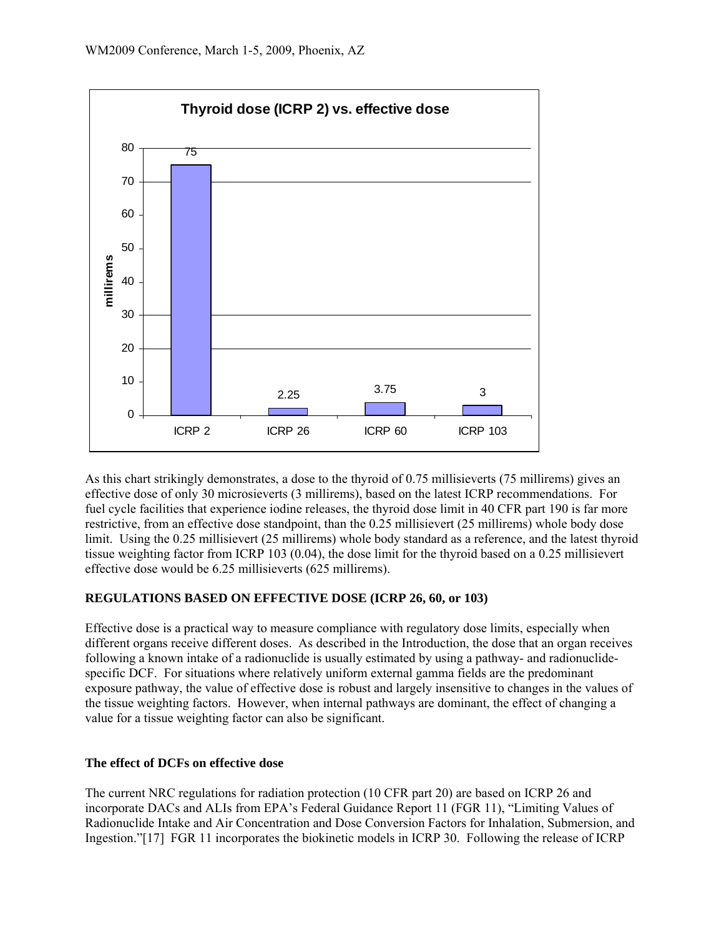

As this chart strikingly demonstrates, a dose to the thyroid of 0.75 millisieverts (75 millirems) gives an effective dose of only 30 microsieverts (3 millirems), based on the latest ICRP recommendations. For fuel cycle facilities that experience iodine releases, the thyroid dose limit in 40 CFR part 190 is far more restrictive, from an effective dose standpoint, than the 0.25 millisievert (25 millirems) whole body dose limit. Using the 0.25 millisievert (25 millirems) whole body standard as a reference, and the latest thyroid tissue weighting factor from ICRP 103 (0.04), the dose limit for the thyroid based on a 0.25 millisievert effective dose would be 6.25 millisieverts (625 millirems).

# **REGULATIONS BASED ON EFFECTIVE DOSE (ICRP 26, 60, or 103)**

Effective dose is a practical way to measure compliance with regulatory dose limits, especially when different organs receive different doses. As described in the Introduction, the dose that an organ receives following a known intake of a radionuclide is usually estimated by using a pathway- and radionuclidespecific DCF. For situations where relatively uniform external gamma fields are the predominant exposure pathway, the value of effective dose is robust and largely insensitive to changes in the values of the tissue weighting factors. However, when internal pathways are dominant, the effect of changing a value for a tissue weighting factor can also be significant.

### **The effect of DCFs on effective dose**

The current NRC regulations for radiation protection (10 CFR part 20) are based on ICRP 26 and incorporate DACs and ALIs from EPA's Federal Guidance Report 11 (FGR 11), "Limiting Values of Radionuclide Intake and Air Concentration and Dose Conversion Factors for Inhalation, Submersion, and Ingestion."[17] FGR 11 incorporates the biokinetic models in ICRP 30. Following the release of ICRP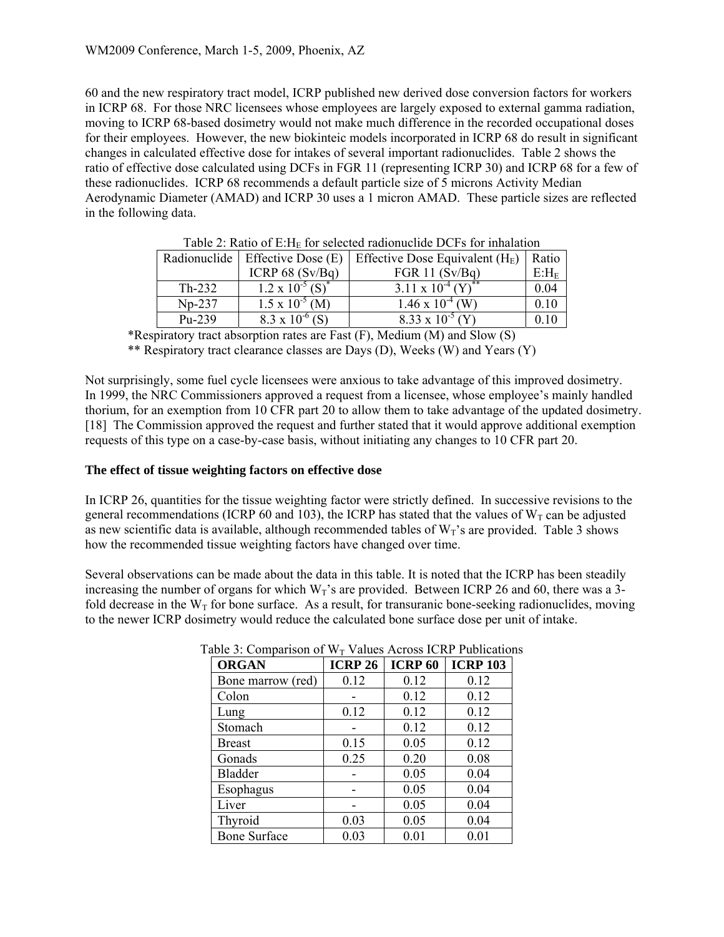60 and the new respiratory tract model, ICRP published new derived dose conversion factors for workers in ICRP 68. For those NRC licensees whose employees are largely exposed to external gamma radiation, moving to ICRP 68-based dosimetry would not make much difference in the recorded occupational doses for their employees. However, the new biokinteic models incorporated in ICRP 68 do result in significant changes in calculated effective dose for intakes of several important radionuclides. Table 2 shows the ratio of effective dose calculated using DCFs in FGR 11 (representing ICRP 30) and ICRP 68 for a few of these radionuclides. ICRP 68 recommends a default particle size of 5 microns Activity Median Aerodynamic Diameter (AMAD) and ICRP 30 uses a 1 micron AMAD. These particle sizes are reflected in the following data.

| Radionuclide | Effective Dose (E)                    | Effective Dose Equivalent $(HE)$ | Ratio    |
|--------------|---------------------------------------|----------------------------------|----------|
|              | ICRP $68(Sv/Bq)$                      | FGR 11 $(Sv/Bq)$                 | $E: H_E$ |
| $Th-232$     | $1.2 \times 10^{-5}$ (S) <sup>*</sup> | 3.11 x $10^{-4} (Y)^{**}$        | 0.04     |
| $Np-237$     | $1.5 \times 10^{-5}$ (M)              | $1.46 \times 10^{-4}$ (W)        | 0.10     |
| Pu-239       | $8.3 \times 10^{-6}$                  | $8.33 \times 10^{-5}$            | 0.10     |

Table 2: Ratio of  $E: H_F$  for selected radionuclide DCFs for inhalation

\*Respiratory tract absorption rates are Fast (F), Medium (M) and Slow (S)

\*\* Respiratory tract clearance classes are Days (D), Weeks (W) and Years (Y)

Not surprisingly, some fuel cycle licensees were anxious to take advantage of this improved dosimetry. In 1999, the NRC Commissioners approved a request from a licensee, whose employee's mainly handled thorium, for an exemption from 10 CFR part 20 to allow them to take advantage of the updated dosimetry. [18] The Commission approved the request and further stated that it would approve additional exemption requests of this type on a case-by-case basis, without initiating any changes to 10 CFR part 20.

#### **The effect of tissue weighting factors on effective dose**

In ICRP 26, quantities for the tissue weighting factor were strictly defined. In successive revisions to the general recommendations (ICRP 60 and 103), the ICRP has stated that the values of  $W_T$  can be adjusted as new scientific data is available, although recommended tables of  $W_T$ 's are provided. Table 3 shows how the recommended tissue weighting factors have changed over time.

Several observations can be made about the data in this table. It is noted that the ICRP has been steadily increasing the number of organs for which  $W_T$ 's are provided. Between ICRP 26 and 60, there was a 3fold decrease in the  $W_T$  for bone surface. As a result, for transuranic bone-seeking radionuclides, moving to the newer ICRP dosimetry would reduce the calculated bone surface dose per unit of intake.

| <b>ORGAN</b>        | <b>ICRP 26</b> | <b>ICRP 60</b> | <b>ICRP 103</b> |
|---------------------|----------------|----------------|-----------------|
| Bone marrow (red)   | 0.12           | 0.12           | 0.12            |
| Colon               |                | 0.12           | 0.12            |
| Lung                | 0.12           | 0.12           | 0.12            |
| Stomach             |                | 0.12           | 0.12            |
| <b>Breast</b>       | 0.15           | 0.05           | 0.12            |
| Gonads              | 0.25           | 0.20           | 0.08            |
| <b>Bladder</b>      |                | 0.05           | 0.04            |
| Esophagus           |                | 0.05           | 0.04            |
| Liver               |                | 0.05           | 0.04            |
| Thyroid             | 0.03           | 0.05           | 0.04            |
| <b>Bone Surface</b> | 0.03           | 0.01           | 0.01            |

Table 3: Comparison of  $W_T$  Values Across ICRP Publications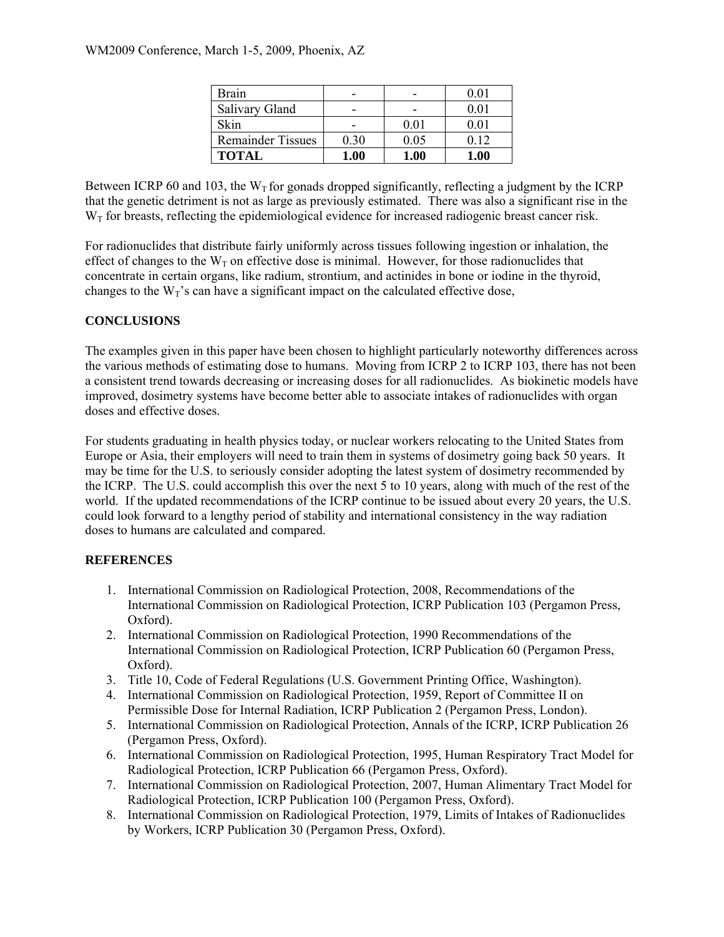| Brain                    |      |      | 0.01 |
|--------------------------|------|------|------|
| <b>Salivary Gland</b>    |      |      | 0.01 |
| Skin                     |      | 0.01 | 0.01 |
| <b>Remainder Tissues</b> | 0.30 | 0.05 | 0.12 |
| <b>TOTAL</b>             | 1.00 | 1.00 | 1.00 |

Between ICRP 60 and 103, the W<sub>T</sub> for gonads dropped significantly, reflecting a judgment by the ICRP that the genetic detriment is not as large as previously estimated. There was also a significant rise in the  $W<sub>T</sub>$  for breasts, reflecting the epidemiological evidence for increased radiogenic breast cancer risk.

For radionuclides that distribute fairly uniformly across tissues following ingestion or inhalation, the effect of changes to the  $W_T$  on effective dose is minimal. However, for those radionuclides that concentrate in certain organs, like radium, strontium, and actinides in bone or iodine in the thyroid, changes to the  $W_T$ 's can have a significant impact on the calculated effective dose,

# **CONCLUSIONS**

The examples given in this paper have been chosen to highlight particularly noteworthy differences across the various methods of estimating dose to humans. Moving from ICRP 2 to ICRP 103, there has not been a consistent trend towards decreasing or increasing doses for all radionuclides. As biokinetic models have improved, dosimetry systems have become better able to associate intakes of radionuclides with organ doses and effective doses.

For students graduating in health physics today, or nuclear workers relocating to the United States from Europe or Asia, their employers will need to train them in systems of dosimetry going back 50 years. It may be time for the U.S. to seriously consider adopting the latest system of dosimetry recommended by the ICRP. The U.S. could accomplish this over the next 5 to 10 years, along with much of the rest of the world. If the updated recommendations of the ICRP continue to be issued about every 20 years, the U.S. could look forward to a lengthy period of stability and international consistency in the way radiation doses to humans are calculated and compared.

# **REFERENCES**

- 1. International Commission on Radiological Protection, 2008, Recommendations of the International Commission on Radiological Protection, ICRP Publication 103 (Pergamon Press, Oxford).
- 2. International Commission on Radiological Protection, 1990 Recommendations of the International Commission on Radiological Protection, ICRP Publication 60 (Pergamon Press, Oxford).
- 3. Title 10, Code of Federal Regulations (U.S. Government Printing Office, Washington).
- 4. International Commission on Radiological Protection, 1959, Report of Committee II on Permissible Dose for Internal Radiation, ICRP Publication 2 (Pergamon Press, London).
- 5. International Commission on Radiological Protection, Annals of the ICRP, ICRP Publication 26 (Pergamon Press, Oxford).
- 6. International Commission on Radiological Protection, 1995, Human Respiratory Tract Model for Radiological Protection, ICRP Publication 66 (Pergamon Press, Oxford).
- 7. International Commission on Radiological Protection, 2007, Human Alimentary Tract Model for Radiological Protection, ICRP Publication 100 (Pergamon Press, Oxford).
- 8. International Commission on Radiological Protection, 1979, Limits of Intakes of Radionuclides by Workers, ICRP Publication 30 (Pergamon Press, Oxford).